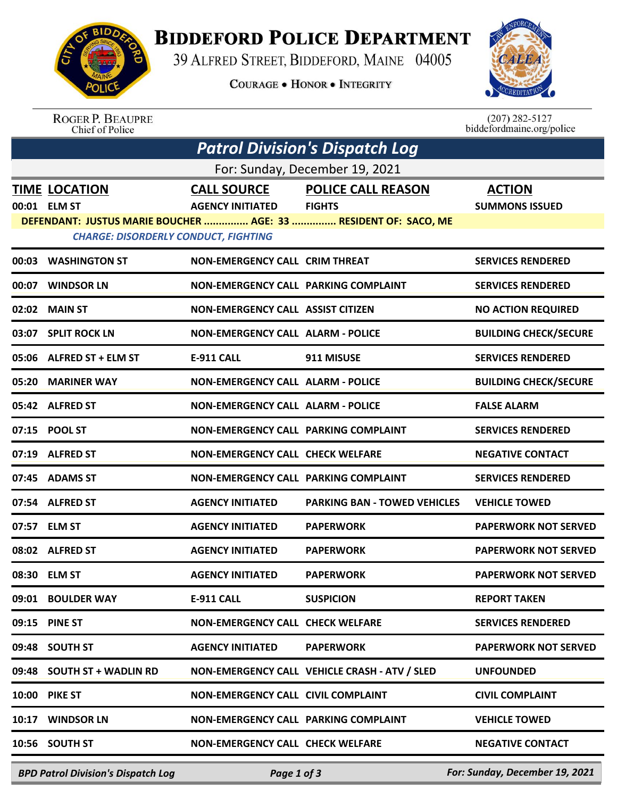

## **BIDDEFORD POLICE DEPARTMENT**

39 ALFRED STREET, BIDDEFORD, MAINE 04005

**COURAGE . HONOR . INTEGRITY** 



ROGER P. BEAUPRE<br>Chief of Police

 $(207)$  282-5127 biddefordmaine.org/police

| <b>Patrol Division's Dispatch Log</b>                                                                          |                            |                                          |                                               |                              |  |  |  |  |
|----------------------------------------------------------------------------------------------------------------|----------------------------|------------------------------------------|-----------------------------------------------|------------------------------|--|--|--|--|
| For: Sunday, December 19, 2021                                                                                 |                            |                                          |                                               |                              |  |  |  |  |
|                                                                                                                | <b>TIME LOCATION</b>       | <b>CALL SOURCE</b>                       | <b>POLICE CALL REASON</b>                     | <b>ACTION</b>                |  |  |  |  |
|                                                                                                                | 00:01 ELM ST               | <b>AGENCY INITIATED</b>                  | <b>FIGHTS</b>                                 | <b>SUMMONS ISSUED</b>        |  |  |  |  |
| DEFENDANT: JUSTUS MARIE BOUCHER  AGE: 33  RESIDENT OF: SACO, ME<br><b>CHARGE: DISORDERLY CONDUCT, FIGHTING</b> |                            |                                          |                                               |                              |  |  |  |  |
|                                                                                                                | 00:03 WASHINGTON ST        | <b>NON-EMERGENCY CALL CRIM THREAT</b>    |                                               | <b>SERVICES RENDERED</b>     |  |  |  |  |
|                                                                                                                | 00:07 WINDSOR LN           | NON-EMERGENCY CALL PARKING COMPLAINT     |                                               | <b>SERVICES RENDERED</b>     |  |  |  |  |
|                                                                                                                | 02:02 MAIN ST              | <b>NON-EMERGENCY CALL ASSIST CITIZEN</b> |                                               | <b>NO ACTION REQUIRED</b>    |  |  |  |  |
|                                                                                                                | 03:07 SPLIT ROCK LN        | <b>NON-EMERGENCY CALL ALARM - POLICE</b> |                                               | <b>BUILDING CHECK/SECURE</b> |  |  |  |  |
|                                                                                                                | 05:06 ALFRED ST + ELM ST   | E-911 CALL                               | 911 MISUSE                                    | <b>SERVICES RENDERED</b>     |  |  |  |  |
|                                                                                                                | 05:20 MARINER WAY          | <b>NON-EMERGENCY CALL ALARM - POLICE</b> |                                               | <b>BUILDING CHECK/SECURE</b> |  |  |  |  |
|                                                                                                                | 05:42 ALFRED ST            | <b>NON-EMERGENCY CALL ALARM - POLICE</b> |                                               | <b>FALSE ALARM</b>           |  |  |  |  |
|                                                                                                                | 07:15 POOL ST              | NON-EMERGENCY CALL PARKING COMPLAINT     |                                               | <b>SERVICES RENDERED</b>     |  |  |  |  |
|                                                                                                                | 07:19 ALFRED ST            | <b>NON-EMERGENCY CALL CHECK WELFARE</b>  |                                               | <b>NEGATIVE CONTACT</b>      |  |  |  |  |
|                                                                                                                | 07:45 ADAMS ST             | NON-EMERGENCY CALL PARKING COMPLAINT     |                                               | <b>SERVICES RENDERED</b>     |  |  |  |  |
|                                                                                                                | 07:54 ALFRED ST            | <b>AGENCY INITIATED</b>                  | <b>PARKING BAN - TOWED VEHICLES</b>           | <b>VEHICLE TOWED</b>         |  |  |  |  |
| 07:57                                                                                                          | <b>ELM ST</b>              | <b>AGENCY INITIATED</b>                  | <b>PAPERWORK</b>                              | <b>PAPERWORK NOT SERVED</b>  |  |  |  |  |
|                                                                                                                | 08:02 ALFRED ST            | <b>AGENCY INITIATED</b>                  | <b>PAPERWORK</b>                              | <b>PAPERWORK NOT SERVED</b>  |  |  |  |  |
| 08:30                                                                                                          | <b>ELM ST</b>              | <b>AGENCY INITIATED</b>                  | <b>PAPERWORK</b>                              | <b>PAPERWORK NOT SERVED</b>  |  |  |  |  |
|                                                                                                                | 09:01 BOULDER WAY          | E-911 CALL                               | <b>SUSPICION</b>                              | <b>REPORT TAKEN</b>          |  |  |  |  |
| 09:15                                                                                                          | <b>PINE ST</b>             | NON-EMERGENCY CALL CHECK WELFARE         |                                               | <b>SERVICES RENDERED</b>     |  |  |  |  |
|                                                                                                                | 09:48 SOUTH ST             | <b>AGENCY INITIATED</b>                  | <b>PAPERWORK</b>                              | <b>PAPERWORK NOT SERVED</b>  |  |  |  |  |
|                                                                                                                | 09:48 SOUTH ST + WADLIN RD |                                          | NON-EMERGENCY CALL VEHICLE CRASH - ATV / SLED | <b>UNFOUNDED</b>             |  |  |  |  |
| 10:00                                                                                                          | <b>PIKE ST</b>             | NON-EMERGENCY CALL CIVIL COMPLAINT       |                                               | <b>CIVIL COMPLAINT</b>       |  |  |  |  |
| 10:17                                                                                                          | <b>WINDSOR LN</b>          | NON-EMERGENCY CALL PARKING COMPLAINT     |                                               | <b>VEHICLE TOWED</b>         |  |  |  |  |
|                                                                                                                | 10:56 SOUTH ST             | <b>NON-EMERGENCY CALL CHECK WELFARE</b>  |                                               | <b>NEGATIVE CONTACT</b>      |  |  |  |  |
|                                                                                                                |                            |                                          |                                               |                              |  |  |  |  |

*BPD Patrol Division's Dispatch Log Page 1 of 3 For: Sunday, December 19, 2021*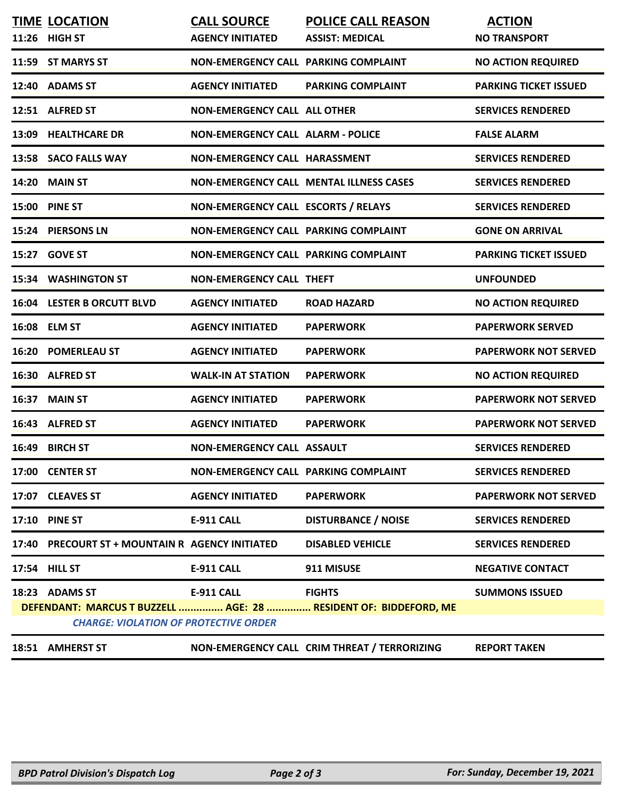|                                                                                                                  | 18:51 AMHERST ST                                |                                             | NON-EMERGENCY CALL CRIM THREAT / TERRORIZING   | <b>REPORT TAKEN</b>          |  |  |
|------------------------------------------------------------------------------------------------------------------|-------------------------------------------------|---------------------------------------------|------------------------------------------------|------------------------------|--|--|
| DEFENDANT: MARCUS T BUZZELL  AGE: 28  RESIDENT OF: BIDDEFORD, ME<br><b>CHARGE: VIOLATION OF PROTECTIVE ORDER</b> |                                                 |                                             |                                                |                              |  |  |
|                                                                                                                  | 18:23 ADAMS ST                                  | <b>E-911 CALL</b>                           | <b>FIGHTS</b>                                  | <b>SUMMONS ISSUED</b>        |  |  |
|                                                                                                                  | 17:54 HILL ST                                   | E-911 CALL                                  | 911 MISUSE                                     | <b>NEGATIVE CONTACT</b>      |  |  |
|                                                                                                                  | 17:40 PRECOURT ST + MOUNTAIN R AGENCY INITIATED |                                             | <b>DISABLED VEHICLE</b>                        | <b>SERVICES RENDERED</b>     |  |  |
|                                                                                                                  | 17:10 PINE ST                                   | <b>E-911 CALL</b>                           | <b>DISTURBANCE / NOISE</b>                     | <b>SERVICES RENDERED</b>     |  |  |
|                                                                                                                  | 17:07 CLEAVES ST                                | <b>AGENCY INITIATED</b>                     | <b>PAPERWORK</b>                               | <b>PAPERWORK NOT SERVED</b>  |  |  |
|                                                                                                                  | 17:00 CENTER ST                                 | NON-EMERGENCY CALL PARKING COMPLAINT        |                                                | <b>SERVICES RENDERED</b>     |  |  |
| 16:49                                                                                                            | <b>BIRCH ST</b>                                 | <b>NON-EMERGENCY CALL ASSAULT</b>           |                                                | <b>SERVICES RENDERED</b>     |  |  |
|                                                                                                                  | 16:43 ALFRED ST                                 | <b>AGENCY INITIATED</b>                     | <b>PAPERWORK</b>                               | <b>PAPERWORK NOT SERVED</b>  |  |  |
|                                                                                                                  | 16:37 MAIN ST                                   | <b>AGENCY INITIATED</b>                     | <b>PAPERWORK</b>                               | <b>PAPERWORK NOT SERVED</b>  |  |  |
|                                                                                                                  | 16:30 ALFRED ST                                 | <b>WALK-IN AT STATION</b>                   | <b>PAPERWORK</b>                               | <b>NO ACTION REQUIRED</b>    |  |  |
|                                                                                                                  | 16:20 POMERLEAU ST                              | <b>AGENCY INITIATED</b>                     | <b>PAPERWORK</b>                               | <b>PAPERWORK NOT SERVED</b>  |  |  |
|                                                                                                                  | 16:08 ELM ST                                    | <b>AGENCY INITIATED</b>                     | <b>PAPERWORK</b>                               | <b>PAPERWORK SERVED</b>      |  |  |
|                                                                                                                  | <b>16:04 LESTER B ORCUTT BLVD</b>               | <b>AGENCY INITIATED</b>                     | <b>ROAD HAZARD</b>                             | <b>NO ACTION REQUIRED</b>    |  |  |
|                                                                                                                  | <b>15:34 WASHINGTON ST</b>                      | <b>NON-EMERGENCY CALL THEFT</b>             |                                                | <b>UNFOUNDED</b>             |  |  |
|                                                                                                                  | 15:27 GOVE ST                                   | <b>NON-EMERGENCY CALL PARKING COMPLAINT</b> |                                                | <b>PARKING TICKET ISSUED</b> |  |  |
|                                                                                                                  | 15:24 PIERSONS LN                               | NON-EMERGENCY CALL PARKING COMPLAINT        |                                                | <b>GONE ON ARRIVAL</b>       |  |  |
|                                                                                                                  | 15:00 PINE ST                                   | NON-EMERGENCY CALL ESCORTS / RELAYS         |                                                | <b>SERVICES RENDERED</b>     |  |  |
|                                                                                                                  | <b>14:20 MAIN ST</b>                            |                                             | <b>NON-EMERGENCY CALL MENTAL ILLNESS CASES</b> | <b>SERVICES RENDERED</b>     |  |  |
|                                                                                                                  | 13:58 SACO FALLS WAY                            | <b>NON-EMERGENCY CALL HARASSMENT</b>        |                                                | <b>SERVICES RENDERED</b>     |  |  |
|                                                                                                                  | 13:09 HEALTHCARE DR                             | <b>NON-EMERGENCY CALL ALARM - POLICE</b>    |                                                | <b>FALSE ALARM</b>           |  |  |
|                                                                                                                  | 12:51 ALFRED ST                                 | <b>NON-EMERGENCY CALL ALL OTHER</b>         |                                                | <b>SERVICES RENDERED</b>     |  |  |
|                                                                                                                  | 12:40 ADAMS ST                                  | <b>AGENCY INITIATED</b>                     | <b>PARKING COMPLAINT</b>                       | <b>PARKING TICKET ISSUED</b> |  |  |
|                                                                                                                  | 11:59 ST MARYS ST                               | <b>NON-EMERGENCY CALL PARKING COMPLAINT</b> |                                                | <b>NO ACTION REQUIRED</b>    |  |  |
|                                                                                                                  | 11:26 HIGH ST                                   | <b>AGENCY INITIATED</b>                     | <b>ASSIST: MEDICAL</b>                         | <b>NO TRANSPORT</b>          |  |  |
|                                                                                                                  | <b>TIME LOCATION</b>                            | <b>CALL SOURCE</b>                          | <b>POLICE CALL REASON</b>                      | <b>ACTION</b>                |  |  |